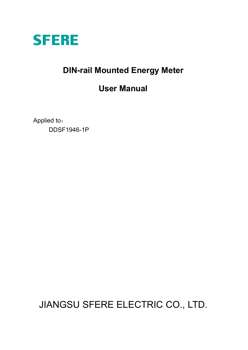

## **DIN-rail Mounted Energy Meter**

### **User Manual**

Applied to: DDSF1946-1P

JIANGSU SFERE ELECTRIC CO., LTD.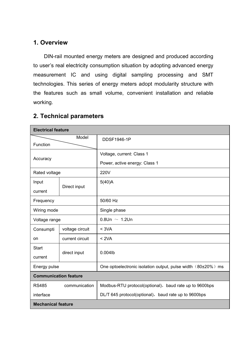#### **1. Overview**

DIN-rail mounted energy meters are designed and produced according to user's real electricity consumption situation by adopting advanced energy measurement IC and using digital sampling processing and SMT technologies. This series of energy meters adopt modularity structure with the features such as small volume, convenient installation and reliable working.

| <b>Electrical feature</b>    |                 |                                                              |  |
|------------------------------|-----------------|--------------------------------------------------------------|--|
|                              | Model           | DDSF1946-1P                                                  |  |
| Function                     |                 |                                                              |  |
| Accuracy                     |                 | Voltage, current: Class 1                                    |  |
|                              |                 | Power, active energy: Class 1                                |  |
| Rated voltage                |                 | 220V                                                         |  |
| Input                        | Direct input    | 5(40)A                                                       |  |
| current                      |                 |                                                              |  |
| Frequency                    |                 | 50/60 Hz                                                     |  |
| Wiring mode                  |                 | Single phase                                                 |  |
| Voltage range                |                 | $0.8$ Un ~ 1.2Un                                             |  |
| Consumpti                    | voltage circuit | < 3VA                                                        |  |
| on                           | current circuit | < 2VA                                                        |  |
| <b>Start</b>                 |                 | $0.004$ lb                                                   |  |
| current                      | direct input    |                                                              |  |
| Energy pulse                 |                 | One optoelectronic isolation output, pulse width (80±20%) ms |  |
| <b>Communication feature</b> |                 |                                                              |  |
| <b>RS485</b>                 | communication   | Modbus-RTU protocol(optional), baud rate up to 9600bps       |  |
| interface                    |                 | DL/T 645 protocol(optional), baud rate up to 9600bps         |  |
| <b>Mechanical feature</b>    |                 |                                                              |  |

### **2. Technical parameters**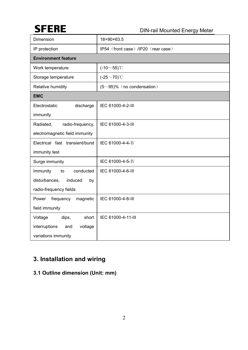# **SFERE**

DIN-rail Mounted Energy Meter

| Dimension                                                                               | 18×90×63.5                          |  |  |
|-----------------------------------------------------------------------------------------|-------------------------------------|--|--|
| IP protection                                                                           | IP54 (front case) /IP20 (rear case) |  |  |
| <b>Environment feature</b>                                                              |                                     |  |  |
| Work temperature                                                                        | $(-10~55)$ °C                       |  |  |
| Storage temperature                                                                     | $(-25 \sim 70)$ °C                  |  |  |
| Relative humidity                                                                       | $(5~95)\%$ (no condensation)        |  |  |
| <b>EMC</b>                                                                              |                                     |  |  |
| Electrostatic<br>discharge<br>immunity                                                  | IEC 61000-4-2-III                   |  |  |
| radio-frequency,<br>Radiated,<br>electromagnetic field immunity                         | IEC 61000-4-3-III                   |  |  |
| Electrical fast transient/burst<br>immunity test                                        | IEC 61000-4-4-IV                    |  |  |
| Surge immunity                                                                          | IEC 61000-4-5-IV                    |  |  |
| Immunity<br>conducted<br>to<br>disturbances,<br>induced<br>by<br>radio-frequency fields | IEC 61000-4-6-III                   |  |  |
| Power<br>frequency<br>magnetic<br>field immunity                                        | IEC 61000-4-8-III                   |  |  |
| Voltage<br>short<br>dips,<br>interruptions<br>voltage<br>and<br>variations immunity     | IEC 61000-4-11-III                  |  |  |

### **3. Installation and wiring**

### **3.1 Outline dimension (Unit: mm)**